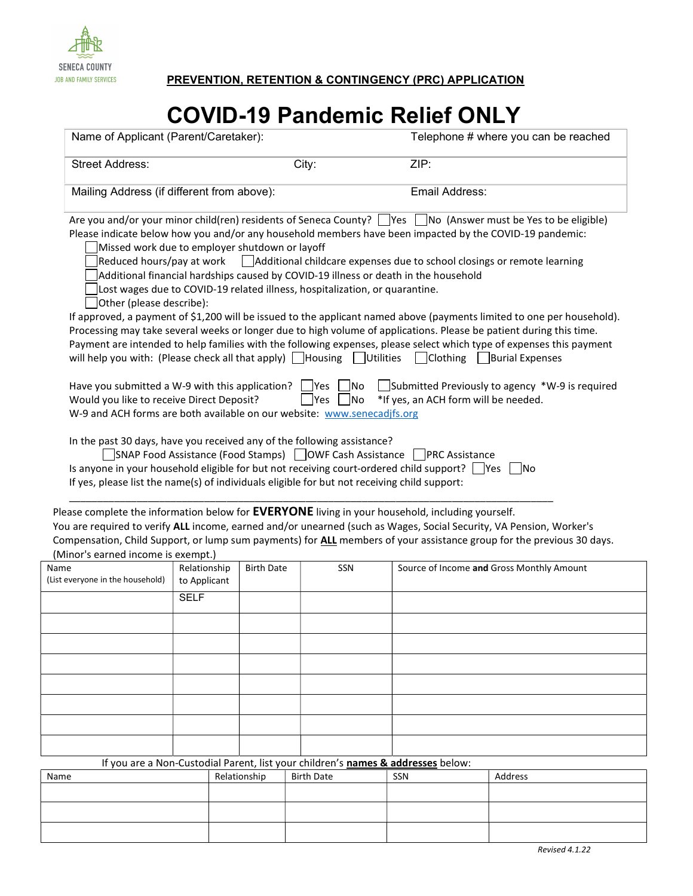

JOB AND FAMILY SERVICES **PREVENTION, RETENTION & CONTINGENCY (PRC) APPLICATION** 

## COVID-19 Pandemic Relief ONLY

| Name of Applicant (Parent/Caretaker):                                                                                                                                                                                                                                                                                                                                                                                                                                                                                          |                                                   |  |                                                                                                    | Telephone # where you can be reached                                             |                                                                                                                                                                                                                                                                                                                                                                                                                                                                                                                                                                                                                                                                                                                                                                                                                                                |  |
|--------------------------------------------------------------------------------------------------------------------------------------------------------------------------------------------------------------------------------------------------------------------------------------------------------------------------------------------------------------------------------------------------------------------------------------------------------------------------------------------------------------------------------|---------------------------------------------------|--|----------------------------------------------------------------------------------------------------|----------------------------------------------------------------------------------|------------------------------------------------------------------------------------------------------------------------------------------------------------------------------------------------------------------------------------------------------------------------------------------------------------------------------------------------------------------------------------------------------------------------------------------------------------------------------------------------------------------------------------------------------------------------------------------------------------------------------------------------------------------------------------------------------------------------------------------------------------------------------------------------------------------------------------------------|--|
| <b>Street Address:</b>                                                                                                                                                                                                                                                                                                                                                                                                                                                                                                         |                                                   |  |                                                                                                    | City:<br>ZIP:                                                                    |                                                                                                                                                                                                                                                                                                                                                                                                                                                                                                                                                                                                                                                                                                                                                                                                                                                |  |
| Mailing Address (if different from above):                                                                                                                                                                                                                                                                                                                                                                                                                                                                                     |                                                   |  |                                                                                                    | Email Address:                                                                   |                                                                                                                                                                                                                                                                                                                                                                                                                                                                                                                                                                                                                                                                                                                                                                                                                                                |  |
| Missed work due to employer shutdown or layoff<br>Additional financial hardships caused by COVID-19 illness or death in the household<br>Other (please describe):<br>will help you with: (Please check all that apply) $\Box$ Housing $\Box$ Utilities<br>Have you submitted a W-9 with this application? $\Box$ Yes $\Box$<br>Would you like to receive Direct Deposit?<br>W-9 and ACH forms are both available on our website: www.senecadjfs.org<br>In the past 30 days, have you received any of the following assistance? |                                                   |  | Lost wages due to COVID-19 related illness, hospitalization, or quarantine.<br> No<br>   Yes<br>No | Clothing                                                                         | Are you and/or your minor child(ren) residents of Seneca County? $\Box$ Yes $\Box$ No (Answer must be Yes to be eligible)<br>Please indicate below how you and/or any household members have been impacted by the COVID-19 pandemic:<br>Reduced hours/pay at work $\Box$ Additional childcare expenses due to school closings or remote learning<br>If approved, a payment of \$1,200 will be issued to the applicant named above (payments limited to one per household).<br>Processing may take several weeks or longer due to high volume of applications. Please be patient during this time.<br>Payment are intended to help families with the following expenses, please select which type of expenses this payment<br><b>Burial Expenses</b><br>Submitted Previously to agency *W-9 is required<br>*If yes, an ACH form will be needed. |  |
| Is anyone in your household eligible for but not receiving court-ordered child support? Ves no<br>If yes, please list the name(s) of individuals eligible for but not receiving child support:                                                                                                                                                                                                                                                                                                                                 |                                                   |  |                                                                                                    | SNAP Food Assistance (Food Stamps) COWF Cash Assistance CPRC Assistance          |                                                                                                                                                                                                                                                                                                                                                                                                                                                                                                                                                                                                                                                                                                                                                                                                                                                |  |
| Please complete the information below for <b>EVERYONE</b> living in your household, including yourself.<br>(Minor's earned income is exempt.)                                                                                                                                                                                                                                                                                                                                                                                  |                                                   |  |                                                                                                    |                                                                                  | You are required to verify ALL income, earned and/or unearned (such as Wages, Social Security, VA Pension, Worker's<br>Compensation, Child Support, or lump sum payments) for ALL members of your assistance group for the previous 30 days.                                                                                                                                                                                                                                                                                                                                                                                                                                                                                                                                                                                                   |  |
| Name<br>(List everyone in the household)                                                                                                                                                                                                                                                                                                                                                                                                                                                                                       | Relationship<br><b>Birth Date</b><br>to Applicant |  | SSN                                                                                                |                                                                                  | Source of Income and Gross Monthly Amount                                                                                                                                                                                                                                                                                                                                                                                                                                                                                                                                                                                                                                                                                                                                                                                                      |  |
|                                                                                                                                                                                                                                                                                                                                                                                                                                                                                                                                | <b>SELF</b>                                       |  |                                                                                                    |                                                                                  |                                                                                                                                                                                                                                                                                                                                                                                                                                                                                                                                                                                                                                                                                                                                                                                                                                                |  |
|                                                                                                                                                                                                                                                                                                                                                                                                                                                                                                                                |                                                   |  |                                                                                                    |                                                                                  |                                                                                                                                                                                                                                                                                                                                                                                                                                                                                                                                                                                                                                                                                                                                                                                                                                                |  |
|                                                                                                                                                                                                                                                                                                                                                                                                                                                                                                                                |                                                   |  |                                                                                                    |                                                                                  |                                                                                                                                                                                                                                                                                                                                                                                                                                                                                                                                                                                                                                                                                                                                                                                                                                                |  |
|                                                                                                                                                                                                                                                                                                                                                                                                                                                                                                                                |                                                   |  |                                                                                                    |                                                                                  |                                                                                                                                                                                                                                                                                                                                                                                                                                                                                                                                                                                                                                                                                                                                                                                                                                                |  |
|                                                                                                                                                                                                                                                                                                                                                                                                                                                                                                                                |                                                   |  |                                                                                                    |                                                                                  |                                                                                                                                                                                                                                                                                                                                                                                                                                                                                                                                                                                                                                                                                                                                                                                                                                                |  |
|                                                                                                                                                                                                                                                                                                                                                                                                                                                                                                                                |                                                   |  |                                                                                                    |                                                                                  |                                                                                                                                                                                                                                                                                                                                                                                                                                                                                                                                                                                                                                                                                                                                                                                                                                                |  |
|                                                                                                                                                                                                                                                                                                                                                                                                                                                                                                                                |                                                   |  |                                                                                                    | If you are a Non-Custodial Parent, list your children's names & addresses below: |                                                                                                                                                                                                                                                                                                                                                                                                                                                                                                                                                                                                                                                                                                                                                                                                                                                |  |
|                                                                                                                                                                                                                                                                                                                                                                                                                                                                                                                                |                                                   |  |                                                                                                    |                                                                                  |                                                                                                                                                                                                                                                                                                                                                                                                                                                                                                                                                                                                                                                                                                                                                                                                                                                |  |